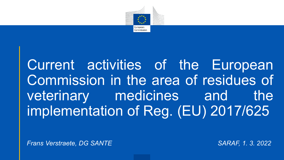

Current activities of the European Commission in the area of residues of veterinary medicines and the implementation of Reg. (EU) 2017/625

*Frans Verstraete, DG SANTE SARAF, 1. 3. 2022*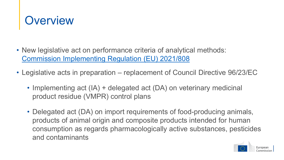

- New legislative act on performance criteria of analytical methods: [Commission Implementing Regulation \(EU\) 2021/808](https://eur-lex.europa.eu/legal-content/EN/TXT/?uri=CELEX%3A02021R0808-20210610&qid=1646078015630)
- Legislative acts in preparation replacement of Council Directive 96/23/EC
	- Implementing act (IA) + delegated act (DA) on veterinary medicinal product residue (VMPR) control plans
	- Delegated act (DA) on import requirements of food-producing animals, products of animal origin and composite products intended for human consumption as regards pharmacologically active substances, pesticides and contaminants

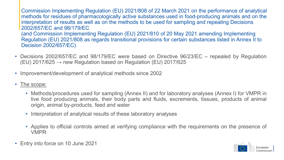Commission Implementing Regulation (EU) 2021/808 of 22 March 2021 on the performance of analytical methods for residues of pharmacologically active substances used in food-producing animals and on the interpretation of results as well as on the methods to be used for sampling and repealing Decisions 2002/657/EC and 98/179/EC (and Commission Implementing Regulation (EU) 2021/810 of 20 May 2021 amending Implementing Regulation (EU) 2021/808 as regards transitional provisions for certain substances listed in Annex II to Decision 2002/657/EC)

- Decisions 2002/657/EC and 98/179/EC were based on Directive 96/23/EC repealed by Regulation (EU) 2017/625  $\rightarrow$  new Regulation based on Regulation (EU) 2017/625
- Improvement/development of analytical methods since 2002
- The scope:
	- Methods/procedures used for sampling (Annex II) and for laboratory analyses (Annex I) for VMPR in live food producing animals, their body parts and fluids, excrements, tissues, products of animal origin, animal by-products, feed and water
	- Interpretation of analytical results of these laboratory analyses
	- Applies to official controls aimed at verifying compliance with the requirements on the presence of VMPR
- Entry into force on 10 June 2021

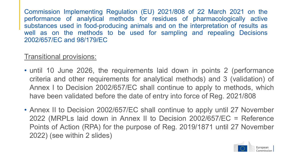Commission Implementing Regulation (EU) 2021/808 of 22 March 2021 on the performance of analytical methods for residues of pharmacologically active substances used in food-producing animals and on the interpretation of results as well as on the methods to be used for sampling and repealing Decisions 2002/657/EC and 98/179/EC

### Transitional provisions:

- until 10 June 2026, the requirements laid down in points 2 (performance criteria and other requirements for analytical methods) and 3 (validation) of Annex I to Decision 2002/657/EC shall continue to apply to methods, which have been validated before the date of entry into force of Reg. 2021/808
- Annex II to Decision 2002/657/EC shall continue to apply until 27 November 2022 (MRPLs laid down in Annex II to Decision 2002/657/EC = Reference Points of Action (RPA) for the purpose of Reg. 2019/1871 until 27 November 2022) (see within 2 slides)

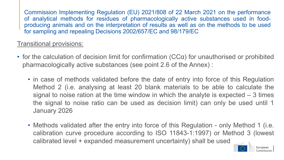Commission Implementing Regulation (EU) 2021/808 of 22 March 2021 on the performance of analytical methods for residues of pharmacologically active substances used in foodproducing animals and on the interpretation of results as well as on the methods to be used for sampling and repealing Decisions 2002/657/EC and 98/179/EC

### Transitional provisions:

- for the calculation of decision limit for confirmation (CCα) for unauthorised or prohibited pharmacologically active substances (see point 2.6 of the Annex) :
	- in case of methods validated before the date of entry into force of this Regulation Method 2 (i.e. analysing at least 20 blank materials to be able to calculate the signal to noise ration at the time window in which the analyte is expected – 3 times the signal to noise ratio can be used as decision limit) can only be used until 1 January 2026
	- Methods validated after the entry into force of this Regulation only Method 1 (i.e. calibration curve procedure according to ISO 11843-1:1997) or Method 3 (lowest calibrated level + expanded measurement uncertainty) shall be used

European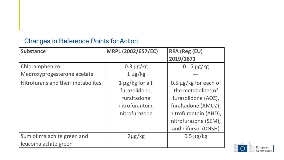#### Changes in Reference Points for Action

| <b>Substance</b>                                   | MRPL (2002/657/EC)                                                                        | <b>RPA (Reg (EU)</b><br>2019/1871                                                                                                                                      |
|----------------------------------------------------|-------------------------------------------------------------------------------------------|------------------------------------------------------------------------------------------------------------------------------------------------------------------------|
| Chloramphenicol                                    | $0.3 \mu g/kg$                                                                            | $0.15 \mu g/kg$                                                                                                                                                        |
| Medroxyprogesterone acetate                        | $1 \mu g/kg$                                                                              |                                                                                                                                                                        |
| Nitrofurans and their metabolites                  | $1 \mu g/kg$ for all:<br>furazolidone,<br>furaltadone<br>nitrofurantoin,<br>nitrofurazone | 0.5 $\mu$ g/kg for each of<br>the metabolites of<br>furazolidone (AOZ),<br>furaltadone (AMOZ),<br>nitrofurantoin (AHD),<br>nitrofurazone (SEM),<br>and nifursol (DNSH) |
| Sum of malachite green and<br>leucomalachite green | $2\mu g/kg$                                                                               | $0.5 \mu g/kg$                                                                                                                                                         |

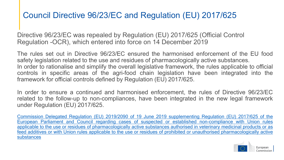# Council Directive 96/23/EC and Regulation (EU) 2017/625

Directive 96/23/EC was repealed by Regulation (EU) 2017/625 (Official Control Regulation -OCR), which entered into force on 14 December 2019

The rules set out in Directive 96/23/EC ensured the harmonised enforcement of the EU food safety legislation related to the use and residues of pharmacologically active substances. In order to rationalise and simplify the overall legislative framework, the rules applicable to official

controls in specific areas of the agri-food chain legislation have been integrated into the framework for official controls defined by Regulation (EU) 2017/625.

In order to ensure a continued and harmonised enforcement, the rules of Directive 96/23/EC related to the follow-up to non-compliances, have been integrated in the new legal framework under Regulation (EU) 2017/625.

Commission Delegated Regulation (EU) 2019/2090 of 19 June 2019 supplementing Regulation (EU) 2017/625 of the European Parliament and Council regarding cases of suspected or established non-compliance with Union rules applicable to the use or residues of [pharmacologically](https://eur-lex.europa.eu/legal-content/EN/TXT/?uri=CELEX%3A32019R2090) active substances authorised in veterinary medicinal products or as feed additives or with Union rules applicable to the use or residues of prohibited or unauthorised pharmacologically active substances

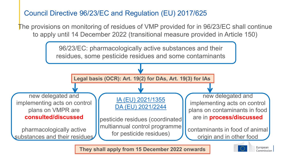Council Directive 96/23/EC and Regulation (EU) 2017/625

The provisions on monitoring of residues of VMP provided for in 96/23/EC shall continue to apply until 14 December 2022 (transitional measure provided in Article 150)



**They shall apply from 15 December 2022 onwards**

Commission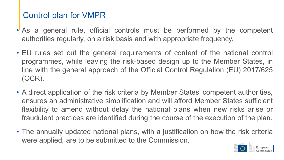## Control plan for VMPR

- As a general rule, official controls must be performed by the competent authorities regularly, on a risk basis and with appropriate frequency.
- EU rules set out the general requirements of content of the national control programmes, while leaving the risk-based design up to the Member States, in line with the general approach of the Official Control Regulation (EU) 2017/625 (OCR).
- A direct application of the risk criteria by Member States' competent authorities, ensures an administrative simplification and will afford Member States sufficient flexibility to amend without delay the national plans when new risks arise or fraudulent practices are identified during the course of the execution of the plan.
- The annually updated national plans, with a justification on how the risk criteria were applied, are to be submitted to the Commission.

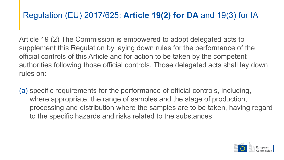## Regulation (EU) 2017/625: **Article 19(2) for DA** and 19(3) for IA

Article 19 (2) The Commission is empowered to adopt delegated acts to supplement this Regulation by laying down rules for the performance of the official controls of this Article and for action to be taken by the competent authorities following those official controls. Those delegated acts shall lay down rules on:

(a) specific requirements for the performance of official controls, including, where appropriate, the range of samples and the stage of production, processing and distribution where the samples are to be taken, having regard to the specific hazards and risks related to the substances

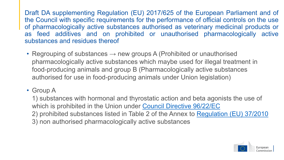Draft DA supplementing Regulation (EU) 2017/625 of the European Parliament and of the Council with specific requirements for the performance of official controls on the use of pharmacologically active substances authorised as veterinary medicinal products or as feed additives and on prohibited or unauthorised pharmacologically active substances and residues thereof

- Regrouping of substances  $\rightarrow$  new groups A (Prohibited or unauthorised pharmacologically active substances which maybe used for illegal treatment in food-producing animals and group B (Pharmacologically active substances authorised for use in food-producing animals under Union legislation)
- Group A

1) substances with hormonal and thyrostatic action and beta agonists the use of which is prohibited in the Union under [Council Directive 96/22/EC](https://eur-lex.europa.eu/legal-content/EN/TXT/?uri=CELEX%3A01996L0022-20081218) 2) prohibited substances listed in Table 2 of the Annex to [Regulation \(EU\) 37/2010](https://eur-lex.europa.eu/legal-content/EN/TXT/?uri=CELEX%3A02010R0037-20210506) 3) non authorised pharmacologically active substances

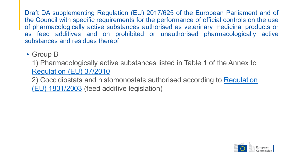Draft DA supplementing Regulation (EU) 2017/625 of the European Parliament and of the Council with specific requirements for the performance of official controls on the use of pharmacologically active substances authorised as veterinary medicinal products or as feed additives and on prohibited or unauthorised pharmacologically active substances and residues thereof

## • Group B

1) Pharmacologically active substances listed in Table 1 of the Annex to [Regulation \(EU\) 37/2010](https://eur-lex.europa.eu/legal-content/EN/TXT/?uri=CELEX%3A02010R0037-20210506)

[2\) Coccidiostats and histomonostats](https://eur-lex.europa.eu/legal-content/EN/TXT/?uri=CELEX%3A02003R1831-20210327) authorised according to Regulation (EU) 1831/2003 (feed additive legislation)

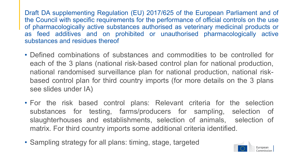Draft DA supplementing Regulation (EU) 2017/625 of the European Parliament and of the Council with specific requirements for the performance of official controls on the use of pharmacologically active substances authorised as veterinary medicinal products or as feed additives and on prohibited or unauthorised pharmacologically active substances and residues thereof

- Defined combinations of substances and commodities to be controlled for each of the 3 plans (national risk-based control plan for national production, national randomised surveillance plan for national production, national riskbased control plan for third country imports (for more details on the 3 plans see slides under IA)
- For the risk based control plans: Relevant criteria for the selection substances for testing, farms/producers for sampling, selection of slaughterhouses and establishments, selection of animals, selection of matrix. For third country imports some additional criteria identified.
- Sampling strategy for all plans: timing, stage, targeted

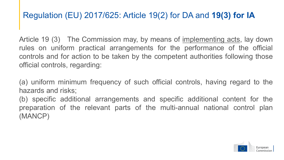## Regulation (EU) 2017/625: Article 19(2) for DA and **19(3) for IA**

Article 19 (3) The Commission may, by means of implementing acts, lay down rules on uniform practical arrangements for the performance of the official controls and for action to be taken by the competent authorities following those official controls, regarding:

(a) uniform minimum frequency of such official controls, having regard to the hazards and risks;

(b) specific additional arrangements and specific additional content for the preparation of the relevant parts of the multi-annual national control plan (MANCP)

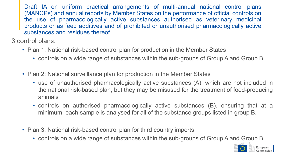Draft IA on uniform practical arrangements of multi-annual national control plans (MANCPs) and annual reports by Member States on the performance of official controls on the use of pharmacologically active substances authorised as veterinary medicinal products or as feed additives and of prohibited or unauthorised pharmacologically active substances and residues thereof

3 control plans:

- Plan 1: National risk-based control plan for production in the Member States
	- controls on a wide range of substances within the sub-groups of Group A and Group B
- Plan 2: National surveillance plan for production in the Member States
	- use of unauthorised pharmacologically active substances (A), which are not included in the national risk-based plan, but they may be misused for the treatment of food-producing animals
	- controls on authorised pharmacologically active substances (B), ensuring that at a minimum, each sample is analysed for all of the substance groups listed in group B.
- Plan 3: National risk-based control plan for third country imports
	- controls on a wide range of substances within the sub-groups of Group A and Group B

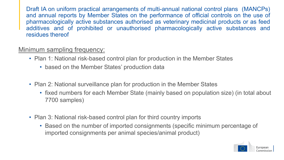Draft IA on uniform practical arrangements of multi-annual national control plans (MANCPs) and annual reports by Member States on the performance of official controls on the use of pharmacologically active substances authorised as veterinary medicinal products or as feed additives and of prohibited or unauthorised pharmacologically active substances and residues thereof

#### Minimum sampling frequency:

- Plan 1: National risk-based control plan for production in the Member States
	- based on the Member States' production data
- Plan 2: National surveillance plan for production in the Member States
	- fixed numbers for each Member State (mainly based on population size) (in total about 7700 samples)
- Plan 3: National risk-based control plan for third country imports
	- Based on the number of imported consignments (specific minimum percentage of imported consignments per animal species/animal product)

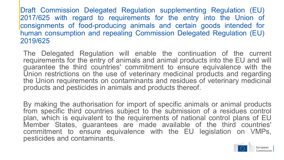The Delegated Regulation will enable the continuation of the current requirements for the entry of animals and animal products into the EU and will guarantee the third countries' commitment to ensure equivalence with the Union restrictions on the use of veterinary medicinal products and regarding the Union requirements on contaminants and residues of veterinary medicinal products and pesticides in animals and products thereof.

By making the authorisation for import of specific animals or animal products from specific third countries subject to the submission of a residues control plan, which is equivalent to the requirements of national control plans of EU Member States, guarantees are made available of the third countries' commitment to ensure equivalence with the EU legislation on VMPs, pesticides and contaminants.

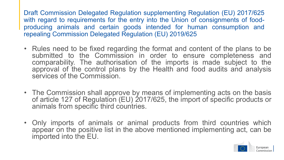- Rules need to be fixed regarding the format and content of the plans to be submitted to the Commission in order to ensure completeness and comparability. The authorisation of the imports is made subject to the approval of the control plans by the Health and food audits and analysis services of the Commission.
- The Commission shall approve by means of implementing acts on the basis of article 127 of Regulation (EU) 2017/625, the import of specific products or animals from specific third countries.
- Only imports of animals or animal products from third countries which appear on the positive list in the above mentioned implementing act, can be imported into the EU.

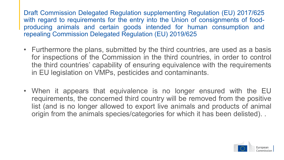- Furthermore the plans, submitted by the third countries, are used as a basis for inspections of the Commission in the third countries, in order to control the third countries' capability of ensuring equivalence with the requirements in EU legislation on VMPs, pesticides and contaminants.
- When it appears that equivalence is no longer ensured with the EU requirements, the concerned third country will be removed from the positive list (and is no longer allowed to export live animals and products of animal origin from the animals species/categories for which it has been delisted). .

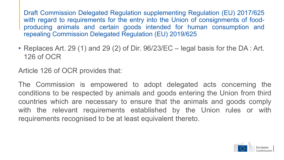• Replaces Art. 29 (1) and 29 (2) of Dir. 96/23/EC – legal basis for the DA : Art. 126 of OCR

Article 126 of OCR provides that:

The Commission is empowered to adopt delegated acts concerning the conditions to be respected by animals and goods entering the Union from third countries which are necessary to ensure that the animals and goods comply with the relevant requirements established by the Union rules or with requirements recognised to be at least equivalent thereto.

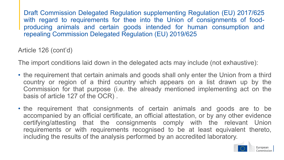Article 126 (cont'd)

The import conditions laid down in the delegated acts may include (not exhaustive):

- the requirement that certain animals and goods shall only enter the Union from a third country or region of a third country which appears on a list drawn up by the Commission for that purpose (i.e. the already mentioned implementing act on the basis of article 127 of the OCR) .
- the requirement that consignments of certain animals and goods are to be accompanied by an official certificate, an official attestation, or by any other evidence certifying/attesting that the consignments comply with the relevant Union requirements or with requirements recognised to be at least equivalent thereto, including the results of the analysis performed by an accredited laboratory.

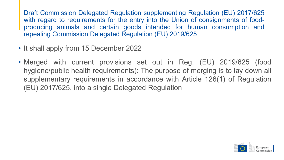- It shall apply from 15 December 2022
- Merged with current provisions set out in Reg. (EU) 2019/625 (food hygiene/public health requirements): The purpose of merging is to lay down all supplementary requirements in accordance with Article 126(1) of Regulation (EU) 2017/625, into a single Delegated Regulation

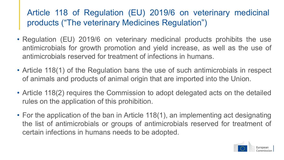## Article 118 of Regulation (EU) 2019/6 on veterinary medicinal products ("The veterinary Medicines Regulation")

- Regulation (EU) 2019/6 on veterinary medicinal products prohibits the use antimicrobials for growth promotion and yield increase, as well as the use of antimicrobials reserved for treatment of infections in humans.
- Article 118(1) of the Regulation bans the use of such antimicrobials in respect of animals and products of animal origin that are imported into the Union.
- Article 118(2) requires the Commission to adopt delegated acts on the detailed rules on the application of this prohibition.
- For the application of the ban in Article 118(1), an implementing act designating the list of antimicrobials or groups of antimicrobials reserved for treatment of certain infections in humans needs to be adopted.

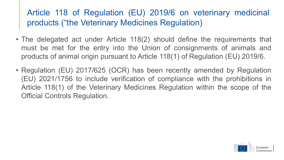## Article 118 of Regulation (EU) 2019/6 on veterinary medicinal products ("the Veterinary Medicines Regulation)

- The delegated act under Article 118(2) should define the requirements that must be met for the entry into the Union of consignments of animals and products of animal origin pursuant to Article 118(1) of Regulation (EU) 2019/6.
- Regulation (EU) 2017/625 (OCR) has been recently amended by Regulation (EU) 2021/1756 to include verification of compliance with the prohibitions in Article 118(1) of the Veterinary Medicines Regulation within the scope of the Official Controls Regulation.